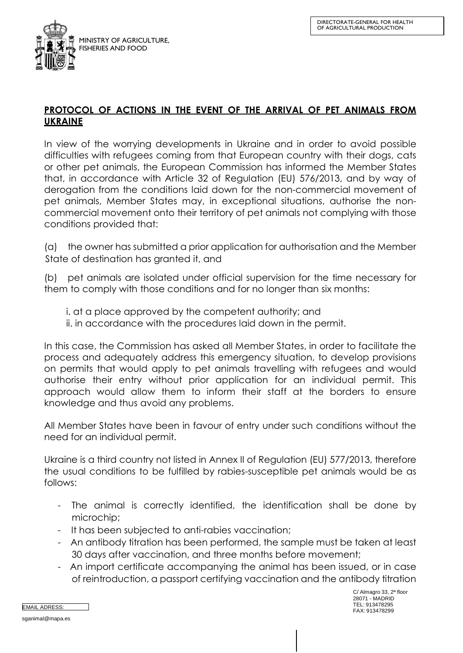

## **PROTOCOL OF ACTIONS IN THE EVENT OF THE ARRIVAL OF PET ANIMALS FROM UKRAINE**

In view of the worrying developments in Ukraine and in order to avoid possible difficulties with refugees coming from that European country with their dogs, cats or other pet animals, the European Commission has informed the Member States that, in accordance with Article 32 of Regulation (EU) 576/2013, and by way of derogation from the conditions laid down for the non-commercial movement of pet animals, Member States may, in exceptional situations, authorise the noncommercial movement onto their territory of pet animals not complying with those conditions provided that:

(a) the owner has submitted a prior application for authorisation and the Member State of destination has granted it, and

(b) pet animals are isolated under official supervision for the time necessary for them to comply with those conditions and for no longer than six months:

- i. at a place approved by the competent authority; and
- ii. in accordance with the procedures laid down in the permit.

In this case, the Commission has asked all Member States, in order to facilitate the process and adequately address this emergency situation, to develop provisions on permits that would apply to pet animals travelling with refugees and would authorise their entry without prior application for an individual permit. This approach would allow them to inform their staff at the borders to ensure knowledge and thus avoid any problems.

All Member States have been in favour of entry under such conditions without the need for an individual permit.

Ukraine is a third country not listed in Annex II of Regulation (EU) 577/2013, therefore the usual conditions to be fulfilled by rabies-susceptible pet animals would be as follows:

- The animal is correctly identified, the identification shall be done by microchip;
- It has been subjected to anti-rabies vaccination;
- An antibody titration has been performed, the sample must be taken at least 30 days after vaccination, and three months before movement;
- An import certificate accompanying the animal has been issued, or in case of reintroduction, a passport certifying vaccination and the antibody titration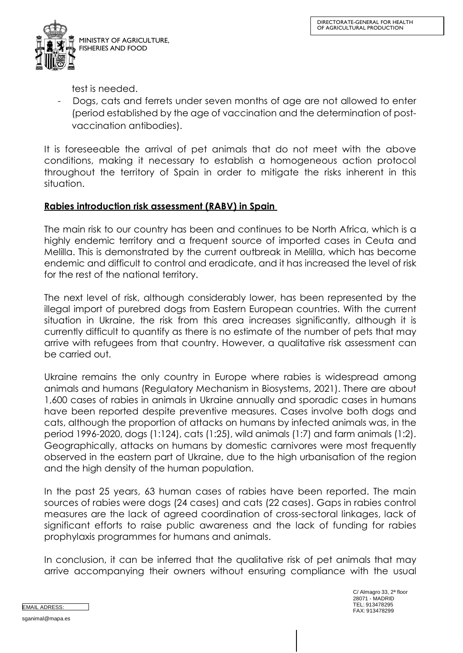

test is needed.

Dogs, cats and ferrets under seven months of age are not allowed to enter (period established by the age of vaccination and the determination of postvaccination antibodies).

It is foreseeable the arrival of pet animals that do not meet with the above conditions, making it necessary to establish a homogeneous action protocol throughout the territory of Spain in order to mitigate the risks inherent in this situation.

## **Rabies introduction risk assessment (RABV) in Spain**

The main risk to our country has been and continues to be North Africa, which is a highly endemic territory and a frequent source of imported cases in Ceuta and Melilla. This is demonstrated by the current outbreak in Melilla, which has become endemic and difficult to control and eradicate, and it has increased the level of risk for the rest of the national territory.

The next level of risk, although considerably lower, has been represented by the illegal import of purebred dogs from Eastern European countries. With the current situation in Ukraine, the risk from this area increases significantly, although it is currently difficult to quantify as there is no estimate of the number of pets that may arrive with refugees from that country. However, a qualitative risk assessment can be carried out.

Ukraine remains the only country in Europe where rabies is widespread among animals and humans (Regulatory Mechanism in Biosystems, 2021). There are about 1,600 cases of rabies in animals in Ukraine annually and sporadic cases in humans have been reported despite preventive measures. Cases involve both dogs and cats, although the proportion of attacks on humans by infected animals was, in the period 1996-2020, dogs (1:124), cats (1:25), wild animals (1:7) and farm animals (1:2). Geographically, attacks on humans by domestic carnivores were most frequently observed in the eastern part of Ukraine, due to the high urbanisation of the region and the high density of the human population.

In the past 25 years, 63 human cases of rabies have been reported. The main sources of rabies were dogs (24 cases) and cats (22 cases). Gaps in rabies control measures are the lack of agreed coordination of cross-sectoral linkages, lack of significant efforts to raise public awareness and the lack of funding for rabies prophylaxis programmes for humans and animals.

In conclusion, it can be inferred that the qualitative risk of pet animals that may arrive accompanying their owners without ensuring compliance with the usual

C/ Almagro 33, 2ª floor 28071 - MADRID TEL: 913478295 FAX: 913478299 EMAIL ADRESS: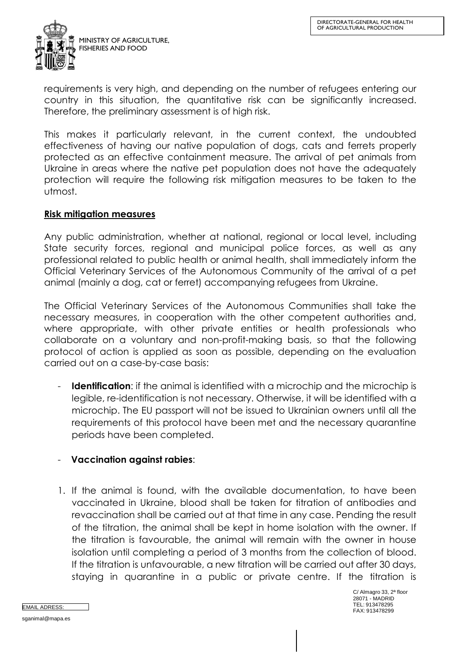

requirements is very high, and depending on the number of refugees entering our country in this situation, the quantitative risk can be significantly increased. Therefore, the preliminary assessment is of high risk.

This makes it particularly relevant, in the current context, the undoubted effectiveness of having our native population of dogs, cats and ferrets properly protected as an effective containment measure. The arrival of pet animals from Ukraine in areas where the native pet population does not have the adequately protection will require the following risk mitigation measures to be taken to the utmost.

## **Risk mitigation measures**

Any public administration, whether at national, regional or local level, including State security forces, regional and municipal police forces, as well as any professional related to public health or animal health, shall immediately inform the Official Veterinary Services of the Autonomous Community of the arrival of a pet animal (mainly a dog, cat or ferret) accompanying refugees from Ukraine.

The Official Veterinary Services of the Autonomous Communities shall take the necessary measures, in cooperation with the other competent authorities and, where appropriate, with other private entities or health professionals who collaborate on a voluntary and non-profit-making basis, so that the following protocol of action is applied as soon as possible, depending on the evaluation carried out on a case-by-case basis:

**Identification**: if the animal is identified with a microchip and the microchip is legible, re-identification is not necessary. Otherwise, it will be identified with a microchip. The EU passport will not be issued to Ukrainian owners until all the requirements of this protocol have been met and the necessary quarantine periods have been completed.

## - **Vaccination against rabies**:

1. If the animal is found, with the available documentation, to have been vaccinated in Ukraine, blood shall be taken for titration of antibodies and revaccination shall be carried out at that time in any case. Pending the result of the titration, the animal shall be kept in home isolation with the owner. If the titration is favourable, the animal will remain with the owner in house isolation until completing a period of 3 months from the collection of blood. If the titration is unfavourable, a new titration will be carried out after 30 days, staying in quarantine in a public or private centre. If the titration is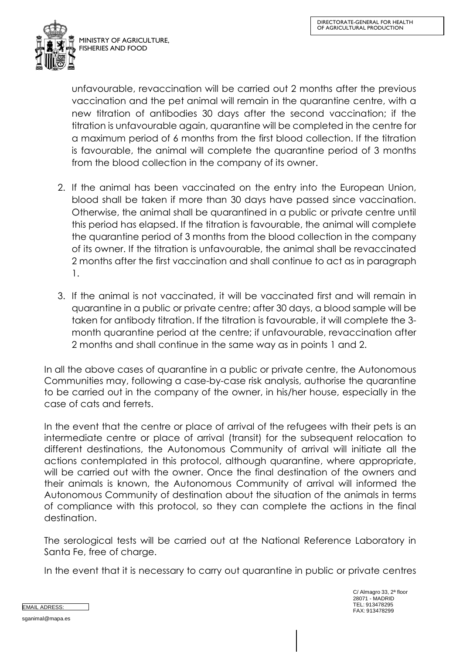

unfavourable, revaccination will be carried out 2 months after the previous vaccination and the pet animal will remain in the quarantine centre, with a new titration of antibodies 30 days after the second vaccination; if the titration is unfavourable again, quarantine will be completed in the centre for a maximum period of 6 months from the first blood collection. If the titration is favourable, the animal will complete the quarantine period of 3 months from the blood collection in the company of its owner.

- 2. If the animal has been vaccinated on the entry into the European Union, blood shall be taken if more than 30 days have passed since vaccination. Otherwise, the animal shall be quarantined in a public or private centre until this period has elapsed. If the titration is favourable, the animal will complete the quarantine period of 3 months from the blood collection in the company of its owner. If the titration is unfavourable, the animal shall be revaccinated 2 months after the first vaccination and shall continue to act as in paragraph 1.
- 3. If the animal is not vaccinated, it will be vaccinated first and will remain in quarantine in a public or private centre; after 30 days, a blood sample will be taken for antibody titration. If the titration is favourable, it will complete the 3 month quarantine period at the centre; if unfavourable, revaccination after 2 months and shall continue in the same way as in points 1 and 2.

In all the above cases of quarantine in a public or private centre, the Autonomous Communities may, following a case-by-case risk analysis, authorise the quarantine to be carried out in the company of the owner, in his/her house, especially in the case of cats and ferrets.

In the event that the centre or place of arrival of the refugees with their pets is an intermediate centre or place of arrival (transit) for the subsequent relocation to different destinations, the Autonomous Community of arrival will initiate all the actions contemplated in this protocol, although quarantine, where appropriate, will be carried out with the owner. Once the final destination of the owners and their animals is known, the Autonomous Community of arrival will informed the Autonomous Community of destination about the situation of the animals in terms of compliance with this protocol, so they can complete the actions in the final destination.

The serological tests will be carried out at the National Reference Laboratory in Santa Fe, free of charge.

In the event that it is necessary to carry out quarantine in public or private centres